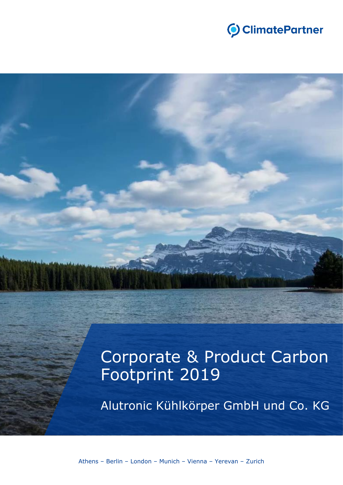

# Corporate & Product Carbon Footprint 2019

Alutronic Kühlkörper GmbH und Co. KG

Athens – Berlin – London – Munich – Vienna – Yerevan – Zurich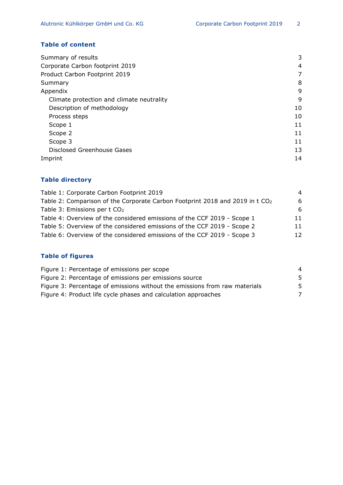# **Table of content**

| Summary of results                        | 3  |
|-------------------------------------------|----|
| Corporate Carbon footprint 2019           | 4  |
| Product Carbon Footprint 2019             | 7  |
| Summary                                   | 8  |
| Appendix                                  | 9  |
| Climate protection and climate neutrality | 9  |
| Description of methodology                | 10 |
| Process steps                             | 10 |
| Scope 1                                   | 11 |
| Scope 2                                   | 11 |
| Scope 3                                   | 11 |
| Disclosed Greenhouse Gases                | 13 |
| Imprint                                   | 14 |

## **Table directory**

| Table 1: Corporate Carbon Footprint 2019                                                 | $\overline{a}$ |
|------------------------------------------------------------------------------------------|----------------|
| Table 2: Comparison of the Corporate Carbon Footprint 2018 and 2019 in t CO <sub>2</sub> | -6             |
| Table 3: Emissions per t CO <sub>2</sub>                                                 | -6             |
| Table 4: Overview of the considered emissions of the CCF 2019 - Scope 1                  | 11             |
| Table 5: Overview of the considered emissions of the CCF 2019 - Scope 2                  | 11             |
| Table 6: Overview of the considered emissions of the CCF 2019 - Scope 3                  | 12             |

# **Table of figures**

| Figure 1: Percentage of emissions per scope                                | 4 |
|----------------------------------------------------------------------------|---|
| Figure 2: Percentage of emissions per emissions source                     | 5 |
| Figure 3: Percentage of emissions without the emissions from raw materials | 5 |
| Figure 4: Product life cycle phases and calculation approaches             |   |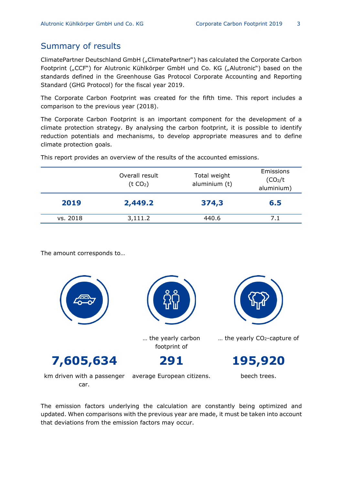# Summary of results

ClimatePartner Deutschland GmbH ("ClimatePartner") has calculated the Corporate Carbon Footprint ("CCF") for Alutronic Kühlkörper GmbH und Co. KG ("Alutronic") based on the standards defined in the Greenhouse Gas Protocol Corporate Accounting and Reporting Standard (GHG Protocol) for the fiscal year 2019.

The Corporate Carbon Footprint was created for the fifth time. This report includes a comparison to the previous year (2018).

The Corporate Carbon Footprint is an important component for the development of a climate protection strategy. By analysing the carbon footprint, it is possible to identify reduction potentials and mechanisms, to develop appropriate measures and to define climate protection goals.

Overall result  $(t CO<sub>2</sub>)$ Total weight aluminium (t) Emissions (CO2/t aluminium) **2019 2,449.2 374,3 6.5** vs. 2018 3,111.2 440.6 7.1

This report provides an overview of the results of the accounted emissions.

The amount corresponds to…



The emission factors underlying the calculation are constantly being optimized and updated. When comparisons with the previous year are made, it must be taken into account that deviations from the emission factors may occur.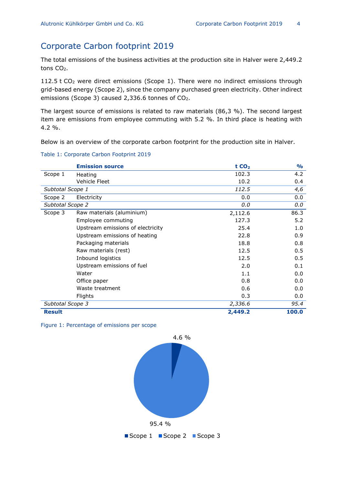# Corporate Carbon footprint 2019

The total emissions of the business activities at the production site in Halver were 2,449.2 tons CO<sub>2</sub>.

112.5 t CO<sup>2</sup> were direct emissions (Scope 1). There were no indirect emissions through grid-based energy (Scope 2), since the company purchased green electricity. Other indirect emissions (Scope 3) caused 2,336.6 tonnes of CO<sub>2</sub>.

The largest source of emissions is related to raw materials (86,3 %). The second largest item are emissions from employee commuting with 5.2 %. In third place is heating with  $4.2 \%$ .

Below is an overview of the corporate carbon footprint for the production site in Halver.

Table 1: Corporate Carbon Footprint 2019

|                  | <b>Emission source</b>            | tCO <sub>2</sub> | $\frac{1}{2}$ |
|------------------|-----------------------------------|------------------|---------------|
| Scope 1          | Heating                           | 102.3            | 4.2           |
|                  | Vehicle Fleet                     | 10.2             | 0.4           |
| Subtotal Scope 1 |                                   | 112.5            | 4,6           |
| Scope 2          | Electricity                       | 0.0              | 0.0           |
| Subtotal Scope 2 |                                   | 0.0              | 0.0           |
| Scope 3          | Raw materials (aluminium)         | 2,112.6          | 86.3          |
|                  | Employee commuting                | 127.3            | 5.2           |
|                  | Upstream emissions of electricity | 25.4             | 1.0           |
|                  | Upstream emissions of heating     | 22.8             | 0.9           |
|                  | Packaging materials               | 18.8             | 0.8           |
|                  | Raw materials (rest)              | 12.5             | 0.5           |
|                  | Inbound logistics                 | 12.5             | 0.5           |
|                  | Upstream emissions of fuel        | 2.0              | 0.1           |
|                  | Water                             | 1.1              | 0.0           |
|                  | Office paper                      | 0.8              | 0.0           |
|                  | Waste treatment                   | 0.6              | 0.0           |
|                  | Flights                           | 0.3              | 0.0           |
| Subtotal Scope 3 |                                   | 2,336.6          | 95.4          |
| <b>Result</b>    |                                   | 2,449.2          | 100.0         |

<span id="page-3-0"></span>Figure 1: Percentage of emissions per scope

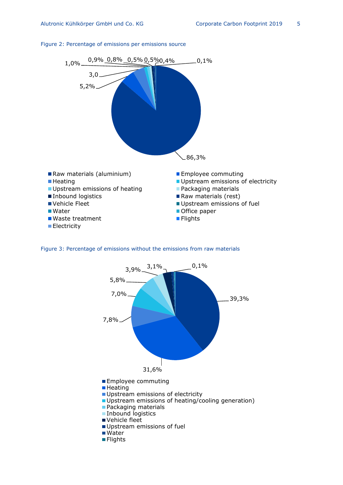

#### <span id="page-4-0"></span>Figure 2: Percentage of emissions per emissions source

<span id="page-4-1"></span>

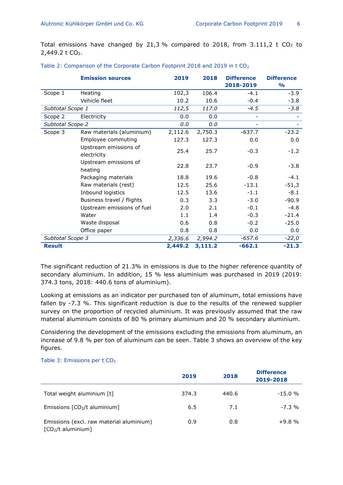Total emissions have changed by 21,3 % compared to 2018, from  $3.111$ ,  $2 \text{ t } CO_2$  to 2,449.2 t CO<sub>2</sub>.

|                  | <b>Emission sources</b>              | 2019    | 2018    | <b>Difference</b><br>2018-2019 | <b>Difference</b><br>$\frac{1}{2}$ |
|------------------|--------------------------------------|---------|---------|--------------------------------|------------------------------------|
| Scope 1          | Heating                              | 102,3   | 106.4   | $-4.1$                         | $-3.9$                             |
|                  | Vehicle fleet                        | 10.2    | 10.6    | $-0.4$                         | $-3.8$                             |
| Subtotal Scope 1 |                                      | 112,5   | 117.0   | $-4.5$                         | $-3.8$                             |
| Scope 2          | Electricity                          | 0.0     | 0.0     |                                |                                    |
| Subtotal Scope 2 |                                      | 0.0     | 0.0     |                                |                                    |
| Scope 3          | Raw materials (aluminium)            | 2,112.6 | 2,750.3 | $-637.7$                       | $-23.2$                            |
|                  | Employee commuting                   | 127.3   | 127.3   | 0.0                            | 0.0                                |
|                  | Upstream emissions of<br>electricity | 25.4    | 25.7    | $-0.3$                         | $-1.2$                             |
|                  | Upstream emissions of<br>heating     | 22.8    | 23.7    | $-0.9$                         | $-3.8$                             |
|                  | Packaging materials                  | 18.8    | 19.6    | $-0.8$                         | $-4.1$                             |
|                  | Raw materials (rest)                 | 12.5    | 25.6    | $-13.1$                        | $-51,3$                            |
|                  | Inbound logistics                    | 12.5    | 13.6    | $-1.1$                         | $-8.1$                             |
|                  | Business travel / flights            | 0.3     | 3.3     | $-3.0$                         | $-90.9$                            |
|                  | Upstream emissions of fuel           | 2.0     | 2.1     | $-0.1$                         | $-4.8$                             |
|                  | Water                                | 1.1     | 1.4     | $-0.3$                         | $-21.4$                            |
|                  | Waste disposal                       | 0.6     | 0.8     | $-0.2$                         | $-25.0$                            |
|                  | Office paper                         | 0.8     | 0.8     | 0.0                            | 0.0                                |
| Subtotal Scope 3 |                                      | 2,336.6 | 2,994.2 | -657.6                         | $-22,0$                            |
| <b>Result</b>    |                                      | 2,449.2 | 3,111.2 | $-662.1$                       | $-21.3$                            |

The significant reduction of 21.3% in emissions is due to the higher reference quantity of secondary aluminium. In addition, 15 % less aluminium was purchased in 2019 (2019: 374.3 tons, 2018: 440.6 tons of aluminium).

Looking at emissions as an indicator per purchased ton of aluminum, total emissions have fallen by -7.3 %. This significant reduction is due to the results of the renewed supplier survey on the proportion of recycled aluminium. It was previously assumed that the raw material aluminium consists of 80 % primary aluminium and 20 % secondary aluminium.

Considering the development of the emissions excluding the emissions from aluminum, an increase of 9.8 % per ton of aluminum can be seen. Table 3 shows an overview of the key figures.

#### Table 3: Emissions per t CO<sub>2</sub>

|                                                                 | 2019  | 2018  | <b>Difference</b><br>2019-2018 |
|-----------------------------------------------------------------|-------|-------|--------------------------------|
| Total weight aluminium [t]                                      | 374.3 | 440.6 | $-15.0%$                       |
| Emissions $[CO2/t$ aluminium]                                   | 6.5   | 7.1   | $-7.3\%$                       |
| Emissions (excl. raw material aluminium)<br>$[CO2/t$ aluminium] | 0.9   | 0.8   | $+9.8%$                        |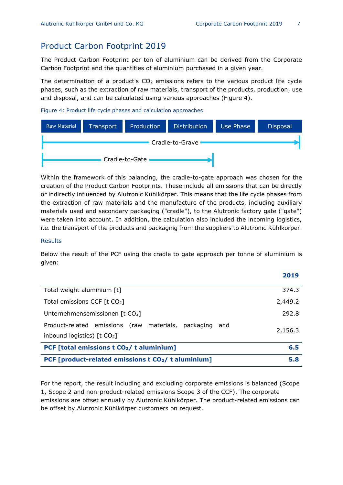# Product Carbon Footprint 2019

The Product Carbon Footprint per ton of aluminium can be derived from the Corporate Carbon Footprint and the quantities of aluminium purchased in a given year.

The determination of a product's  $CO<sub>2</sub>$  emissions refers to the various product life cycle phases, such as the extraction of raw materials, transport of the products, production, use and disposal, and can be calculated using various approaches (Figure 4).

<span id="page-6-0"></span>Figure 4: Product life cycle phases and calculation approaches

| <b>Raw Material</b> | Transport | Production     | <b>Distribution</b> | Use Phase | <b>Disposal</b> |
|---------------------|-----------|----------------|---------------------|-----------|-----------------|
|                     |           |                | Cradle-to-Grave     |           |                 |
|                     |           | Cradle-to-Gate |                     |           |                 |

Within the framework of this balancing, the cradle-to-gate approach was chosen for the creation of the Product Carbon Footprints. These include all emissions that can be directly or indirectly influenced by Alutronic Kühlkörper. This means that the life cycle phases from the extraction of raw materials and the manufacture of the products, including auxiliary materials used and secondary packaging ("cradle"), to the Alutronic factory gate ("gate") were taken into account. In addition, the calculation also included the incoming logistics, i.e. the transport of the products and packaging from the suppliers to Alutronic Kühlkörper.

#### **Results**

Below the result of the PCF using the cradle to gate approach per tonne of aluminium is given:

|                                                                                         | 2019    |
|-----------------------------------------------------------------------------------------|---------|
| Total weight aluminium [t]                                                              | 374.3   |
| Total emissions CCF $[t CO2]$                                                           | 2,449.2 |
| Unternehmensemissionen [t CO2]                                                          | 292.8   |
| Product-related emissions (raw materials, packaging and<br>inbound logistics) $[t CO2]$ | 2,156.3 |
| PCF [total emissions t CO <sub>2</sub> /t aluminium]                                    | 6.5     |
| PCF [product-related emissions t CO2/ t aluminium]                                      | 5.8     |

For the report, the result including and excluding corporate emissions is balanced (Scope 1, Scope 2 and non-product-related emissions Scope 3 of the CCF). The corporate emissions are offset annually by Alutronic Kühlkörper. The product-related emissions can be offset by Alutronic Kühlkörper customers on request.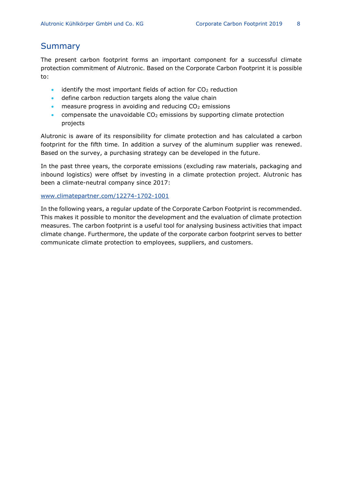# Summary

The present carbon footprint forms an important component for a successful climate protection commitment of Alutronic. Based on the Corporate Carbon Footprint it is possible to:

- $\bullet$  identify the most important fields of action for CO<sub>2</sub> reduction
- define carbon reduction targets along the value chain
- measure progress in avoiding and reducing  $CO<sub>2</sub>$  emissions
- compensate the unavoidable  $CO<sub>2</sub>$  emissions by supporting climate protection projects

Alutronic is aware of its responsibility for climate protection and has calculated a carbon footprint for the fifth time. In addition a survey of the aluminum supplier was renewed. Based on the survey, a purchasing strategy can be developed in the future.

In the past three years, the corporate emissions (excluding raw materials, packaging and inbound logistics) were offset by investing in a climate protection project. Alutronic has been a climate-neutral company since 2017:

[www.climatepartner.com/12274-1702-1001](http://www.climatepartner.com/12274-1702-1001)

In the following years, a regular update of the Corporate Carbon Footprint is recommended. This makes it possible to monitor the development and the evaluation of climate protection measures. The carbon footprint is a useful tool for analysing business activities that impact climate change. Furthermore, the update of the corporate carbon footprint serves to better communicate climate protection to employees, suppliers, and customers.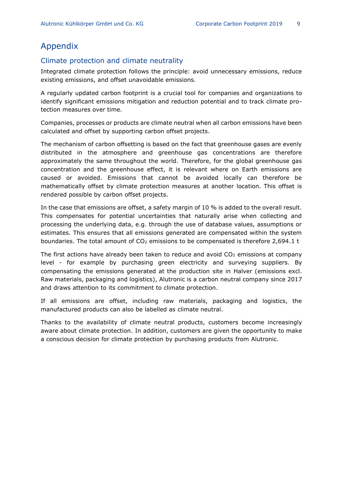# Appendix

# Climate protection and climate neutrality

Integrated climate protection follows the principle: avoid unnecessary emissions, reduce existing emissions, and offset unavoidable emissions.

A regularly updated carbon footprint is a crucial tool for companies and organizations to identify significant emissions mitigation and reduction potential and to track climate protection measures over time.

Companies, processes or products are climate neutral when all carbon emissions have been calculated and offset by supporting carbon offset projects.

The mechanism of carbon offsetting is based on the fact that greenhouse gases are evenly distributed in the atmosphere and greenhouse gas concentrations are therefore approximately the same throughout the world. Therefore, for the global greenhouse gas concentration and the greenhouse effect, it is relevant where on Earth emissions are caused or avoided. Emissions that cannot be avoided locally can therefore be mathematically offset by climate protection measures at another location. This offset is rendered possible by carbon offset projects.

In the case that emissions are offset, a safety margin of 10 % is added to the overall result. This compensates for potential uncertainties that naturally arise when collecting and processing the underlying data, e.g. through the use of database values, assumptions or estimates. This ensures that all emissions generated are compensated within the system boundaries. The total amount of  $CO<sub>2</sub>$  emissions to be compensated is therefore 2,694.1 t

The first actions have already been taken to reduce and avoid  $CO<sub>2</sub>$  emissions at company level - for example by purchasing green electricity and surveying suppliers. By compensating the emissions generated at the production site in Halver (emissions excl. Raw materials, packaging and logistics), Alutronic is a carbon neutral company since 2017 and draws attention to its commitment to climate protection.

If all emissions are offset, including raw materials, packaging and logistics, the manufactured products can also be labelled as climate neutral.

Thanks to the availability of climate neutral products, customers become increasingly aware about climate protection. In addition, customers are given the opportunity to make a conscious decision for climate protection by purchasing products from Alutronic.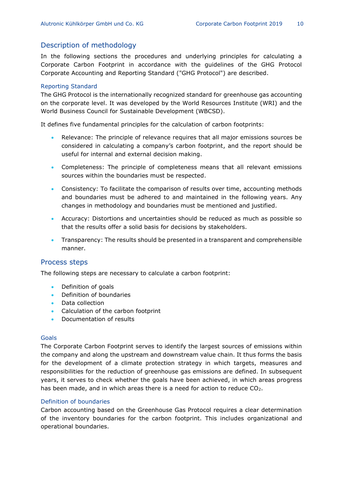# Description of methodology

In the following sections the procedures and underlying principles for calculating a Corporate Carbon Footprint in accordance with the guidelines of the GHG Protocol Corporate Accounting and Reporting Standard ("GHG Protocol") are described.

#### Reporting Standard

The GHG Protocol is the internationally recognized standard for greenhouse gas accounting on the corporate level. It was developed by the World Resources Institute (WRI) and the World Business Council for Sustainable Development (WBCSD).

It defines five fundamental principles for the calculation of carbon footprints:

- Relevance: The principle of relevance requires that all major emissions sources be considered in calculating a company's carbon footprint, and the report should be useful for internal and external decision making.
- Completeness: The principle of completeness means that all relevant emissions sources within the boundaries must be respected.
- Consistency: To facilitate the comparison of results over time, accounting methods and boundaries must be adhered to and maintained in the following years. Any changes in methodology and boundaries must be mentioned and justified.
- Accuracy: Distortions and uncertainties should be reduced as much as possible so that the results offer a solid basis for decisions by stakeholders.
- Transparency: The results should be presented in a transparent and comprehensible manner.

## Process steps

The following steps are necessary to calculate a carbon footprint:

- Definition of goals
- Definition of boundaries
- Data collection
- Calculation of the carbon footprint
- Documentation of results

#### Goals

The Corporate Carbon Footprint serves to identify the largest sources of emissions within the company and along the upstream and downstream value chain. It thus forms the basis for the development of a climate protection strategy in which targets, measures and responsibilities for the reduction of greenhouse gas emissions are defined. In subsequent years, it serves to check whether the goals have been achieved, in which areas progress has been made, and in which areas there is a need for action to reduce CO<sub>2</sub>.

#### Definition of boundaries

Carbon accounting based on the Greenhouse Gas Protocol requires a clear determination of the inventory boundaries for the carbon footprint. This includes organizational and operational boundaries.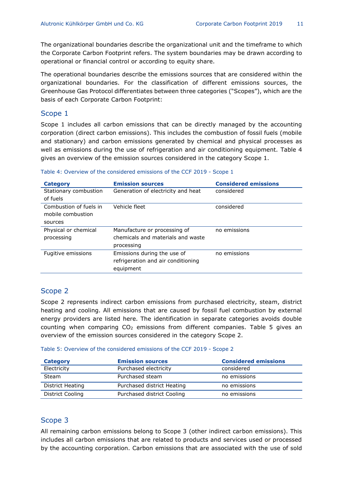The organizational boundaries describe the organizational unit and the timeframe to which the Corporate Carbon Footprint refers. The system boundaries may be drawn according to operational or financial control or according to equity share.

The operational boundaries describe the emissions sources that are considered within the organizational boundaries. For the classification of different emissions sources, the Greenhouse Gas Protocol differentiates between three categories ("Scopes"), which are the basis of each Corporate Carbon Footprint:

## Scope 1

Scope 1 includes all carbon emissions that can be directly managed by the accounting corporation (direct carbon emissions). This includes the combustion of fossil fuels (mobile and stationary) and carbon emissions generated by chemical and physical processes as well as emissions during the use of refrigeration and air conditioning equipment. Table 4 gives an overview of the emission sources considered in the category Scope 1.

| <b>Category</b>        | <b>Emission sources</b>            | <b>Considered emissions</b> |
|------------------------|------------------------------------|-----------------------------|
| Stationary combustion  | Generation of electricity and heat | considered                  |
| of fuels               |                                    |                             |
| Combustion of fuels in | Vehicle fleet                      | considered                  |
| mobile combustion      |                                    |                             |
| sources                |                                    |                             |
| Physical or chemical   | Manufacture or processing of       | no emissions                |
| processing             | chemicals and materials and waste  |                             |
|                        | processing                         |                             |
| Fugitive emissions     | Emissions during the use of        | no emissions                |
|                        | refrigeration and air conditioning |                             |
|                        | equipment                          |                             |

#### Table 4: Overview of the considered emissions of the CCF 2019 - Scope 1

## Scope 2

Scope 2 represents indirect carbon emissions from purchased electricity, steam, district heating and cooling. All emissions that are caused by fossil fuel combustion by external energy providers are listed here. The identification in separate categories avoids double counting when comparing  $CO<sub>2</sub>$  emissions from different companies. Table 5 gives an overview of the emission sources considered in the category Scope 2.

Table 5: Overview of the considered emissions of the CCF 2019 - Scope 2

| Category         | <b>Emission sources</b>    | <b>Considered emissions</b> |
|------------------|----------------------------|-----------------------------|
| Electricity      | Purchased electricity      | considered                  |
| Steam            | Purchased steam            | no emissions                |
| District Heating | Purchased district Heating | no emissions                |
| District Cooling | Purchased district Cooling | no emissions                |

## Scope 3

All remaining carbon emissions belong to Scope 3 (other indirect carbon emissions). This includes all carbon emissions that are related to products and services used or processed by the accounting corporation. Carbon emissions that are associated with the use of sold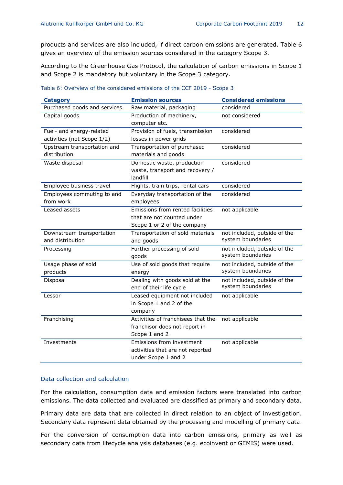products and services are also included, if direct carbon emissions are generated. Table 6 gives an overview of the emission sources considered in the category Scope 3.

According to the Greenhouse Gas Protocol, the calculation of carbon emissions in Scope 1 and Scope 2 is mandatory but voluntary in the Scope 3 category.

| <b>Category</b>              | <b>Emission sources</b>            | <b>Considered emissions</b>  |
|------------------------------|------------------------------------|------------------------------|
| Purchased goods and services | Raw material, packaging            | considered                   |
| Capital goods                | Production of machinery,           | not considered               |
|                              | computer etc.                      |                              |
| Fuel- and energy-related     | Provision of fuels, transmission   | considered                   |
| activities (not Scope 1/2)   | losses in power grids              |                              |
| Upstream transportation and  | Transportation of purchased        | considered                   |
| distribution                 | materials and goods                |                              |
| Waste disposal               | Domestic waste, production         | considered                   |
|                              | waste, transport and recovery /    |                              |
|                              | landfill                           |                              |
| Employee business travel     | Flights, train trips, rental cars  | considered                   |
| Employees commuting to and   | Everyday transportation of the     | considered                   |
| from work                    | employees                          |                              |
| Leased assets                | Emissions from rented facilities   | not applicable               |
|                              | that are not counted under         |                              |
|                              | Scope 1 or 2 of the company        |                              |
| Downstream transportation    | Transportation of sold materials   | not included, outside of the |
| and distribution             | and goods                          | system boundaries            |
| Processing                   | Further processing of sold         | not included, outside of the |
|                              | goods                              | system boundaries            |
| Usage phase of sold          | Use of sold goods that require     | not included, outside of the |
| products                     | energy                             | system boundaries            |
| Disposal                     | Dealing with goods sold at the     | not included, outside of the |
|                              | end of their life cycle            | system boundaries            |
| Lessor                       | Leased equipment not included      | not applicable               |
|                              | in Scope 1 and 2 of the            |                              |
|                              | company                            |                              |
| Franchising                  | Activities of franchisees that the | not applicable               |
|                              | franchisor does not report in      |                              |
|                              | Scope 1 and 2                      |                              |
| Investments                  | Emissions from investment          | not applicable               |
|                              | activities that are not reported   |                              |
|                              | under Scope 1 and 2                |                              |

#### Table 6: Overview of the considered emissions of the CCF 2019 - Scope 3

#### Data collection and calculation

For the calculation, consumption data and emission factors were translated into carbon emissions. The data collected and evaluated are classified as primary and secondary data.

Primary data are data that are collected in direct relation to an object of investigation. Secondary data represent data obtained by the processing and modelling of primary data.

For the conversion of consumption data into carbon emissions, primary as well as secondary data from lifecycle analysis databases (e.g. ecoinvent or GEMIS) were used.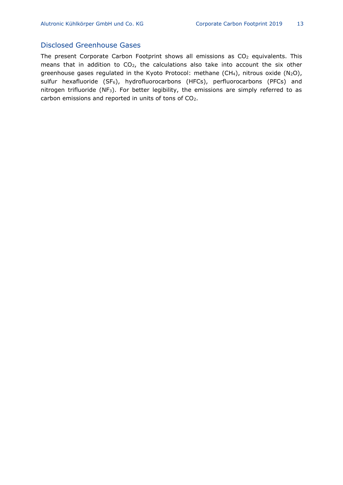# Disclosed Greenhouse Gases

The present Corporate Carbon Footprint shows all emissions as  $CO<sub>2</sub>$  equivalents. This means that in addition to CO2, the calculations also take into account the six other greenhouse gases regulated in the Kyoto Protocol: methane (CH4), nitrous oxide (N<sub>2</sub>O), sulfur hexafluoride (SF<sub>6</sub>), hydrofluorocarbons (HFCs), perfluorocarbons (PFCs) and nitrogen trifluoride (NF<sub>3</sub>). For better legibility, the emissions are simply referred to as carbon emissions and reported in units of tons of CO2.